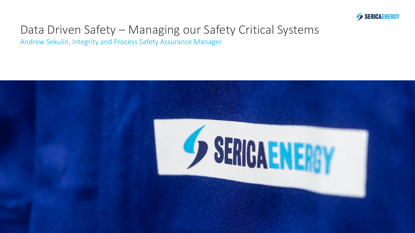

### Data Driven Safety – Managing our Safety Critical Systems

Andrew Sekulin, Integrity and Process Safety Assurance Manager

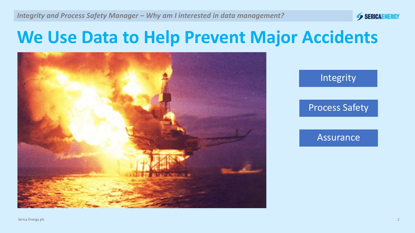

### **We Use Data to Help Prevent Major Accidents**





#### Assurance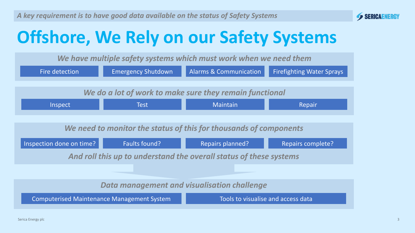

## **Offshore, We Rely on our Safety Systems**

*We have multiple safety systems which must work when we need them*

| Fire detection                                                                          | <b>Emergency Shutdown</b> | <b>Alarms &amp; Communication</b> | <b>Firefighting Water Sprays</b> |  |  |
|-----------------------------------------------------------------------------------------|---------------------------|-----------------------------------|----------------------------------|--|--|
|                                                                                         |                           |                                   |                                  |  |  |
| We do a lot of work to make sure they remain functional                                 |                           |                                   |                                  |  |  |
| Inspect                                                                                 | Test                      | <b>Maintain</b>                   | Repair                           |  |  |
|                                                                                         |                           |                                   |                                  |  |  |
| We need to monitor the status of this for thousands of components                       |                           |                                   |                                  |  |  |
| Inspection done on time?                                                                | Faults found?             | <b>Repairs planned?</b>           | <b>Repairs complete?</b>         |  |  |
| And roll this up to understand the overall status of these systems                      |                           |                                   |                                  |  |  |
|                                                                                         |                           |                                   |                                  |  |  |
| <b>Data management and visualisation challenge</b>                                      |                           |                                   |                                  |  |  |
| <b>Computerised Maintenance Management System</b><br>Tools to visualise and access data |                           |                                   |                                  |  |  |
|                                                                                         |                           |                                   |                                  |  |  |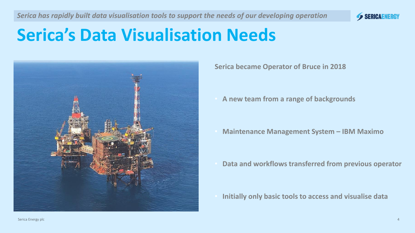

### **Serica's Data Visualisation Needs**



**Serica became Operator of Bruce in 2018** 

• **A new team from a range of backgrounds**

• **Maintenance Management System – IBM Maximo**

• **Data and workflows transferred from previous operator**

• **Initially only basic tools to access and visualise data**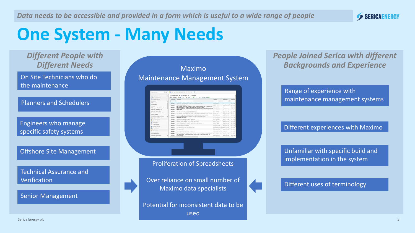

### **One System - Many Needs**

*Different People with Different Needs*

On Site Technicians who do On Site Technicians who do the maintenance the maintenance

Planners and Schedulers Planners and Schedulers

Engineers who manage specific safety systems

Offshore Site Management

Technical Assurance and **Verification** 

Senior Management

#### Maximo Maintenance Management System

| Taxt Exchange Street                                                 | C) Advanced Search . w          | <b>US Save Guery : w</b><br><b>E</b> Bookmarks                                                                                                                               |                                                   |                       | $\sigma$              |
|----------------------------------------------------------------------|---------------------------------|------------------------------------------------------------------------------------------------------------------------------------------------------------------------------|---------------------------------------------------|-----------------------|-----------------------|
| -On To Applications                                                  |                                 | Work Orders * # File + CL<br>$E = 20$ of 2249 $\Phi$                                                                                                                         |                                                   |                       |                       |
| U   Available Guerren                                                | <b>Hindi Coder + Concretion</b> |                                                                                                                                                                              | Licence                                           | Capaboard             | <b>Lead Craft</b>     |
| At Recipits<br>۸                                                     |                                 |                                                                                                                                                                              |                                                   |                       |                       |
| At four-tenants                                                      | <b>WOMMES</b>                   | Constitution of the Constitution of the Constitution of the Constitution of the Constitution of the Constitution of<br>ARMO DE PER BROOK CARRY OUT PM TO 3' MO-171216 D18 WT | <b>BRAINCORPS</b>                                 | <b>FM</b>             | OFFER AL              |
| 14 June dame                                                         | WOMM23                          | 481-003 TEMP TRANSMITTER FT                                                                                                                                                  | <b>BELL TTYSTTY</b>                               | <b>MARKTENANCE</b>    | OFFIC-845             |
| A lumph ring<br>All Deciphose 7 One Remoting Plan-                   | 10099423                        | BRU-DCEWRY, INFEWORK EXTERNAL VISUAL WISPECTION, PIEZ, 49M, CLOSED DRAINS.<br>ENERGY/VENTURE PRODUCTS OF FEMALE CONSUMING CONTRACT PROJECT COLUMNS                           | <b>BRUZOPPIPE</b>                                 | <b>BA</b>             | OFFORM                |
| A.LP See Campaign Jan 27                                             | W208123                         | 501-501 - LIFEBOATS, LAUNCHING APPLIANCES AND RELEASE GEAR MAINTENANCE AND<br><b><i>RESERCTIONS</i></b>                                                                      | BRJ-RSC52500C                                     | <b>MARITERADICE</b>   | OFFIC-RIS             |
| <b>Broom Filter Titatus Histori</b>                                  | WOMAT56                         | To all tag 10001/10083/10083 Erect labbring or affidely                                                                                                                      | <b>REAL AV, JETSHA</b>                            | <b>MARKETTINGSWIR</b> | DEED, AC.             |
| CAAPEC, inCriticalisabel authorities.                                | WOMAR223                        | BRICLOSOBA - MIRATION ANALYSIS (SPLITTER GEARING) COVERED BY SKY VISITS                                                                                                      | 0923-257100                                       | MAINTENANCE           | OFFIC-CRL             |
| <b>CAAPSC-Backing</b>                                                | WOMB33                          | 894-909 - SAFETY SHOWER AND EVE BATH INDIFFECTION AND FUNCTION TEST                                                                                                          | <b>BEN J. S. SHANKSONS</b>                        | MARKETENANCE          | OFFIC FSC             |
| Condition Medicates Visual Celevy.<br>Filter New Shortcaster Classes | W206722                         | Delacker (DOR31M22) falled in stylest gas used 27%, device poweldy requires<br>clearing with rock access-                                                                    | BRU-EXSRO HATZ                                    | <b>MARKTENHINCE</b>   | OFFICATOR             |
| 157 Contempora Automotive                                            | VACINIES                        | PCT31E39 Housing cracked requires replacement                                                                                                                                | <b>BRLEOTS</b> MM                                 | <b>MARCITEAUANCHI</b> | OFFIC-BIS             |
| New Work Center<br>٠                                                 | W205423                         | HENJING - MAINC FIRE DAMPER FUNCTION TEST- ROUTE                                                                                                                             | <b>BERLAW DISTRICT</b>                            | MARKETENAIN'S         | OFFIC.484             |
| <b>SaderS Domest</b>                                                 | <b>WOMER</b>                    | FBILBET - PLOVA COMPUTER CONFIGURATION CHECK (IN) ST3L                                                                                                                       | <b>BRLFVK20KE</b>                                 | <b>MARCITENHACE</b>   | OFFICAR               |
| Total Commercial                                                     | <b>W268239</b>                  | DOMENARO IN LIPRO Compressor                                                                                                                                                 | <b>BEALDGEOMADD</b>                               | <b>MARKETERAPACIE</b> | OFFICASH              |
| Indiana Vicent Cartier                                               | <b>VACABLESS</b>                | INVESTIGATE IN CLAIR CAPTER/TY CARS CLAL BREAK FISCHA.                                                                                                                       | <b>GEN J. ROLAND KINDERSTAND, AAAAA/TEINAUACO</b> |                       | DETE FOO              |
| Croute-Rogers                                                        | <b>WOMER</b>                    | <b><i>SELENE GUITTIN FT.</i></b>                                                                                                                                             | <b>BERLINGALVILLE</b>                             | <b>MARKETENAIN'IE</b> | OFFC-MIL              |
| Miam Actionist                                                       | WOMERS                          | PERDER CURKLERMOLOGARE 12 MONTHLY                                                                                                                                            | <b>BRANDWAYORRANE</b>                             | DEN.LING              | OFFIC-DBI             |
| <b>Dentise for News' Parents</b><br>Consta Viceo Partners            | WOMBER                          | LEASE FRAUDRICH WIND TO STOKE START STATION - FLATFULD AND TESTATION BECAUSED.                                                                                               | <b>BULLEY LIBRARY STATE</b>                       | <b>MARKEEMANCE</b>    | centrum de al         |
| Allia/Jersent Literature (abbot)<br>٠                                | WORCED                          | WEY TEST SELGE? . FIRE SUPPRESSION (FOZD WATER BASED) INSPECTION AND<br><b>PUMP THING TEST</b>                                                                               | <b>BRAJ-ROV2THEZ</b>                              | <b>MARKTENANCE</b>    | OFFEJFOL <sup>N</sup> |
| <b>Pon Franchi</b>                                                   |                                 |                                                                                                                                                                              |                                                   |                       |                       |

#### Proliferation of Spreadsheets

Over reliance on small number of Maximo data specialists

Potential for inconsistent data to be used

*People Joined Serica with different Backgrounds and Experience*

Range of experience with maintenance management systems

Different experiences with Maximo

Unfamiliar with specific build and implementation in the system

#### Different uses of terminology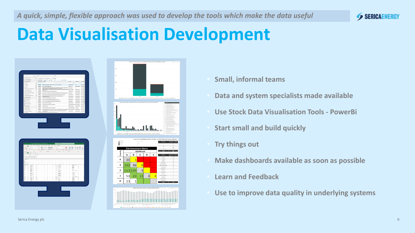

### **Data Visualisation Development**

| 4 9日之中中心石田住口(图<br>of Hiri Dale                                                                                                                                                                                                                                                                                                                                                                                        |                                           |                                                                                                                                                                                                                                                                                                                                                                                                                                                                                                                                         |                                                         |                                                                            |               |  |  |
|-----------------------------------------------------------------------------------------------------------------------------------------------------------------------------------------------------------------------------------------------------------------------------------------------------------------------------------------------------------------------------------------------------------------------|-------------------------------------------|-----------------------------------------------------------------------------------------------------------------------------------------------------------------------------------------------------------------------------------------------------------------------------------------------------------------------------------------------------------------------------------------------------------------------------------------------------------------------------------------------------------------------------------------|---------------------------------------------------------|----------------------------------------------------------------------------|---------------|--|--|
| of Agriculture Born<br>4)<br>$\sim$                                                                                                                                                                                                                                                                                                                                                                                   |                                           | () Ananothest . El Sectiony .   bosness                                                                                                                                                                                                                                                                                                                                                                                                                                                                                                 |                                                         |                                                                            |               |  |  |
| Griffman                                                                                                                                                                                                                                                                                                                                                                                                              |                                           | Work Orders $\mathbf{w}_{\text{DM}}$ : 0, $\mathbf{d}$ $\mathbf{d}$ : $\mathbf{\Phi}$ =<br>$1 - 10$ of 2249 $\Phi$                                                                                                                                                                                                                                                                                                                                                                                                                      |                                                         |                                                                            |               |  |  |
| (F) Avenues German<br>At focusts                                                                                                                                                                                                                                                                                                                                                                                      | - First Orler + Described<br>$\mathbb{C}$ |                                                                                                                                                                                                                                                                                                                                                                                                                                                                                                                                         | Louise Deathed Lost.Cod<br>$\rightarrow$                |                                                                            |               |  |  |
| At Soukmarke                                                                                                                                                                                                                                                                                                                                                                                                          |                                           | WORKER WITH DRIVING BROOK CARRY OUT PM TO 31 WO 17 KING OLD AT                                                                                                                                                                                                                                                                                                                                                                                                                                                                          | <b>BRANDDAVE</b>                                        | $\sim$                                                                     | OFFERN        |  |  |
| 14 April dollar                                                                                                                                                                                                                                                                                                                                                                                                       |                                           | W20022 41-00 TEMP TANGAFTER FT                                                                                                                                                                                                                                                                                                                                                                                                                                                                                                          | $80.07877$                                              | wartwart orrow                                                             |               |  |  |
|                                                                                                                                                                                                                                                                                                                                                                                                                       |                                           |                                                                                                                                                                                                                                                                                                                                                                                                                                                                                                                                         |                                                         |                                                                            |               |  |  |
|                                                                                                                                                                                                                                                                                                                                                                                                                       |                                           |                                                                                                                                                                                                                                                                                                                                                                                                                                                                                                                                         |                                                         |                                                                            |               |  |  |
|                                                                                                                                                                                                                                                                                                                                                                                                                       |                                           |                                                                                                                                                                                                                                                                                                                                                                                                                                                                                                                                         |                                                         |                                                                            |               |  |  |
|                                                                                                                                                                                                                                                                                                                                                                                                                       |                                           |                                                                                                                                                                                                                                                                                                                                                                                                                                                                                                                                         |                                                         |                                                                            |               |  |  |
|                                                                                                                                                                                                                                                                                                                                                                                                                       |                                           |                                                                                                                                                                                                                                                                                                                                                                                                                                                                                                                                         |                                                         |                                                                            |               |  |  |
| Continuation View Market                                                                                                                                                                                                                                                                                                                                                                                              |                                           | <b>OCALCO CONTENTING AND REAL PROPERTY OF AN INFORMATION MANAGEMENT CONTENTS (2015-20)</b><br>CONTENTS CONTENTS AND REAL PROPERTY AND REAL PROPERTY OF AN INTERFERING MANAGEMENT CONTENTS OF A MANAGEMENT CONTENTS OF A MANAGEMENT OF                                                                                                                                                                                                                                                                                                   |                                                         |                                                                            |               |  |  |
| $\overline{\mathbf{p}}$ Communications                                                                                                                                                                                                                                                                                                                                                                                | <b>YOMAX</b>                              | PDT2420 Hooking macked may live replacement                                                                                                                                                                                                                                                                                                                                                                                                                                                                                             | <b>MALBERTOWN</b>                                       | MASTRANCE                                                                  | ORCAS         |  |  |
| <sup>S</sup> Hermann                                                                                                                                                                                                                                                                                                                                                                                                  |                                           |                                                                                                                                                                                                                                                                                                                                                                                                                                                                                                                                         |                                                         |                                                                            |               |  |  |
| <b>B</b> heather<br>10. Tuta Committee                                                                                                                                                                                                                                                                                                                                                                                |                                           | WHEEL FILMF-ROKCONVERSION/GUNFIDECK/RESTS                                                                                                                                                                                                                                                                                                                                                                                                                                                                                               | <b>BRAFINER</b>                                         | MARTENANT GENLAR                                                           |               |  |  |
| <b>Manufacturer</b>                                                                                                                                                                                                                                                                                                                                                                                                   |                                           | $\label{eq:10} \begin{minipage}{0.9\linewidth} \begin{minipage}{0.9\linewidth} \begin{minipage}{0.9\linewidth} \begin{minipage}{0.9\linewidth} \end{minipage} \begin{minipage}{0.9\linewidth} \end{minipage} \begin{minipage}{0.9\linewidth} \begin{minipage}{0.9\linewidth} \end{minipage} \end{minipage} \begin{minipage}{0.9\linewidth} \begin{minipage}{0.9\linewidth} \begin{minipage}{0.9\linewidth} \end{minipage} \end{minipage} \begin{minipage}{0.9\linewidth} \begin{minipage}{0.9\linewidth} \end{minipage} \end{minipage}$ | exposition: wellbend ontice                             |                                                                            |               |  |  |
| <b>Count Hand</b>                                                                                                                                                                                                                                                                                                                                                                                                     |                                           | WORCH PORTHULE GAS DETECTORS CALIBRATION<br><b>WHEN</b> <i>measurer</i><br>BRAPSLITER MATENHOL OFCAS                                                                                                                                                                                                                                                                                                                                                                                                                                    | BRUSHMEFORTOAT MARTENHOL CITY/FO                        |                                                                            |               |  |  |
| <b>Charles Comments</b>                                                                                                                                                                                                                                                                                                                                                                                               |                                           |                                                                                                                                                                                                                                                                                                                                                                                                                                                                                                                                         |                                                         |                                                                            |               |  |  |
| <b>Today to New Parent</b><br>Cooks West Package                                                                                                                                                                                                                                                                                                                                                                      |                                           |                                                                                                                                                                                                                                                                                                                                                                                                                                                                                                                                         |                                                         |                                                                            |               |  |  |
| Abulment Lincorp Parkers                                                                                                                                                                                                                                                                                                                                                                                              |                                           | WORDER PER TEST NEVER-FIRE SUPPRESSION-POSED HATER BASED REPRETOR AND                                                                                                                                                                                                                                                                                                                                                                                                                                                                   | <b>BUSINESS</b>                                         | wartwart orrero's                                                          |               |  |  |
| $\qquad \qquad \circ \qquad \text{mass}$<br><b>Due Franch</b>                                                                                                                                                                                                                                                                                                                                                         |                                           |                                                                                                                                                                                                                                                                                                                                                                                                                                                                                                                                         |                                                         |                                                                            | $\rightarrow$ |  |  |
|                                                                                                                                                                                                                                                                                                                                                                                                                       |                                           |                                                                                                                                                                                                                                                                                                                                                                                                                                                                                                                                         |                                                         |                                                                            |               |  |  |
|                                                                                                                                                                                                                                                                                                                                                                                                                       |                                           |                                                                                                                                                                                                                                                                                                                                                                                                                                                                                                                                         |                                                         |                                                                            |               |  |  |
| n <sub>0</sub>                                                                                                                                                                                                                                                                                                                                                                                                        |                                           | Home Inset Dow Page Leyout Formulas Data Review View Help ACROBAT                                                                                                                                                                                                                                                                                                                                                                                                                                                                       |                                                         |                                                                            |               |  |  |
|                                                                                                                                                                                                                                                                                                                                                                                                                       |                                           |                                                                                                                                                                                                                                                                                                                                                                                                                                                                                                                                         |                                                         |                                                                            |               |  |  |
|                                                                                                                                                                                                                                                                                                                                                                                                                       |                                           |                                                                                                                                                                                                                                                                                                                                                                                                                                                                                                                                         |                                                         |                                                                            |               |  |  |
| $-$ 846                                                                                                                                                                                                                                                                                                                                                                                                               |                                           | $\bigoplus_{\mathfrak{B} \in \mathfrak{B}} \overline{\mathfrak{g}} \cdot \bigoplus_{\mathfrak{B} \in \mathfrak{B}} \overline{\mathfrak{g}} \cdot \bigoplus_{\mathfrak{B} \in \mathfrak{B}} \overline{\mathfrak{g}} \cdot \mathfrak{g} \cdot \mathfrak{g} \cdot \mathfrak{g} \cdot \mathfrak{g} \cdot \mathfrak{g} \cdot \mathfrak{g} \cdot \mathfrak{g} \cdot \mathfrak{g} \cdot \mathfrak{g} \cdot \mathfrak{g} \cdot \mathfrak{g} \cdot \mathfrak{g} \cdot \mathfrak{g} \cdot \mathfrak$                                              |                                                         |                                                                            |               |  |  |
| $\alpha_{\rm BDM}$ $\alpha$<br>Ander <b>CD</b> E 9 - 0 - 8 - +                                                                                                                                                                                                                                                                                                                                                        |                                           | a signer a tensor of max.                                                                                                                                                                                                                                                                                                                                                                                                                                                                                                               |                                                         |                                                                            |               |  |  |
| $\overline{a}$                                                                                                                                                                                                                                                                                                                                                                                                        |                                           |                                                                                                                                                                                                                                                                                                                                                                                                                                                                                                                                         |                                                         |                                                                            |               |  |  |
| $1 \times \sqrt{-\beta}$ . In                                                                                                                                                                                                                                                                                                                                                                                         |                                           |                                                                                                                                                                                                                                                                                                                                                                                                                                                                                                                                         |                                                         |                                                                            |               |  |  |
|                                                                                                                                                                                                                                                                                                                                                                                                                       |                                           |                                                                                                                                                                                                                                                                                                                                                                                                                                                                                                                                         |                                                         |                                                                            |               |  |  |
|                                                                                                                                                                                                                                                                                                                                                                                                                       |                                           |                                                                                                                                                                                                                                                                                                                                                                                                                                                                                                                                         |                                                         |                                                                            |               |  |  |
|                                                                                                                                                                                                                                                                                                                                                                                                                       |                                           |                                                                                                                                                                                                                                                                                                                                                                                                                                                                                                                                         |                                                         |                                                                            |               |  |  |
| E                                                                                                                                                                                                                                                                                                                                                                                                                     |                                           |                                                                                                                                                                                                                                                                                                                                                                                                                                                                                                                                         |                                                         |                                                                            |               |  |  |
| с<br>т.                                                                                                                                                                                                                                                                                                                                                                                                               |                                           | $\frac{\left \mathcal{S}_{\text{pump}}\right }{\frac{1}{\sqrt{2\pi}\Delta t} \Delta t} = \frac{\left \mathcal{S}_{\text{pump}}\right }{\left \mathcal{S}_{\text{pump}}\right } \frac{\left \mathcal{S}_{\text{pump}}\right }{\left \mathcal{S}_{\text{pump}}\right } = \frac{\left \mathcal{S}_{\text{pump}}\right }{\left \mathcal{S}_{\text{pump}}\right } \frac{\left \mathcal{S}_{\text{pump}}\right }{\left \mathcal{S}_{\text{pump}}\right } = \frac{\left \mathcal{S}_{\text{pump}}\right }{\left \mathcal{$                     |                                                         |                                                                            |               |  |  |
| 동시 보기                                                                                                                                                                                                                                                                                                                                                                                                                 |                                           | -1<br>÷<br>÷<br>-<br>×<br>-1<br>.                                                                                                                                                                                                                                                                                                                                                                                                                                                                                                       | -1<br>$\longrightarrow$                                 | 품.<br>$-$                                                                  | t             |  |  |
| her<br>u                                                                                                                                                                                                                                                                                                                                                                                                              |                                           | EEH                                                                                                                                                                                                                                                                                                                                                                                                                                                                                                                                     | --<br>227                                               |                                                                            |               |  |  |
| ι.<br>u.                                                                                                                                                                                                                                                                                                                                                                                                              |                                           | $E = 111$<br>÷<br>$\cdots$<br>m ar                                                                                                                                                                                                                                                                                                                                                                                                                                                                                                      |                                                         | $\frac{1}{2\pi\alpha}$ , $\frac{1}{2\pi\alpha}$ and $\frac{1}{2\pi\alpha}$ |               |  |  |
| ter.<br><b>Search</b><br>South of                                                                                                                                                                                                                                                                                                                                                                                     |                                           | <b>Terms Research</b>                                                                                                                                                                                                                                                                                                                                                                                                                                                                                                                   | the control of the second con-                          |                                                                            |               |  |  |
| وسيا<br>$\frac{1}{2\sqrt{2}}\frac{1}{\sqrt{2}}\frac{1}{\sqrt{2}}\frac{1}{\sqrt{2}}\frac{1}{\sqrt{2}}\frac{1}{\sqrt{2}}\frac{1}{\sqrt{2}}\frac{1}{\sqrt{2}}\frac{1}{\sqrt{2}}\frac{1}{\sqrt{2}}\frac{1}{\sqrt{2}}\frac{1}{\sqrt{2}}\frac{1}{\sqrt{2}}\frac{1}{\sqrt{2}}\frac{1}{\sqrt{2}}\frac{1}{\sqrt{2}}\frac{1}{\sqrt{2}}\frac{1}{\sqrt{2}}\frac{1}{\sqrt{2}}\frac{1}{\sqrt{2}}\frac{1}{\sqrt{2}}\frac{1}{\sqrt{2$ |                                           | $\sim$ $\sim$                                                                                                                                                                                                                                                                                                                                                                                                                                                                                                                           | $\rightarrow$ $\rightarrow$ $\rightarrow$ $\rightarrow$ |                                                                            |               |  |  |
|                                                                                                                                                                                                                                                                                                                                                                                                                       |                                           |                                                                                                                                                                                                                                                                                                                                                                                                                                                                                                                                         |                                                         | part of paper law.                                                         |               |  |  |
| ŧ                                                                                                                                                                                                                                                                                                                                                                                                                     |                                           |                                                                                                                                                                                                                                                                                                                                                                                                                                                                                                                                         |                                                         |                                                                            |               |  |  |
| <b>Section</b>                                                                                                                                                                                                                                                                                                                                                                                                        |                                           | E BERTHERE I HERE<br>send of the first state of the company of                                                                                                                                                                                                                                                                                                                                                                                                                                                                          | <b>STORY</b>                                            | --                                                                         |               |  |  |
|                                                                                                                                                                                                                                                                                                                                                                                                                       |                                           |                                                                                                                                                                                                                                                                                                                                                                                                                                                                                                                                         |                                                         |                                                                            |               |  |  |
|                                                                                                                                                                                                                                                                                                                                                                                                                       |                                           |                                                                                                                                                                                                                                                                                                                                                                                                                                                                                                                                         |                                                         |                                                                            |               |  |  |
|                                                                                                                                                                                                                                                                                                                                                                                                                       |                                           |                                                                                                                                                                                                                                                                                                                                                                                                                                                                                                                                         |                                                         |                                                                            |               |  |  |
|                                                                                                                                                                                                                                                                                                                                                                                                                       |                                           |                                                                                                                                                                                                                                                                                                                                                                                                                                                                                                                                         |                                                         |                                                                            |               |  |  |
|                                                                                                                                                                                                                                                                                                                                                                                                                       |                                           |                                                                                                                                                                                                                                                                                                                                                                                                                                                                                                                                         |                                                         |                                                                            |               |  |  |
|                                                                                                                                                                                                                                                                                                                                                                                                                       |                                           |                                                                                                                                                                                                                                                                                                                                                                                                                                                                                                                                         |                                                         |                                                                            |               |  |  |
|                                                                                                                                                                                                                                                                                                                                                                                                                       |                                           |                                                                                                                                                                                                                                                                                                                                                                                                                                                                                                                                         |                                                         |                                                                            |               |  |  |
|                                                                                                                                                                                                                                                                                                                                                                                                                       |                                           |                                                                                                                                                                                                                                                                                                                                                                                                                                                                                                                                         |                                                         |                                                                            |               |  |  |



- **Small, informal teams**
- **Data and system specialists made available**
- **Use Stock Data Visualisation Tools - PowerBi**
- **Start small and build quickly**
- **Try things out**
- **Make dashboards available as soon as possible**
- **Learn and Feedback**
- **Use to improve data quality in underlying systems**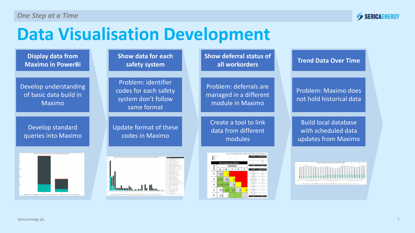

### **Data Visualisation Development**

| <b>Display data from</b> |
|--------------------------|
| <b>Maximo in PowerBi</b> |

Develop understanding of basic data build in Maximo

Develop standard queries into Maximo



**Show data for each safety system**

Problem: identifier codes for each safety system don't follow same format

Update format of these codes in Maximo



**Show deferral status of all workorders**

Problem: deferrals are managed in a different module in Maximo

Create a tool to link data from different modules

 $\frac{1}{2}$  Select  $A$   $B$   $C$   $D$   $E$  $10<sup>l</sup>$  $192$  36  $\overline{\mathbf{c}}$  $113|139|$  $\overline{4}$  $\mathbf{1}$  $53$  23 13  $\mathbf{0}$  $23$ 

**Trend Data Over Time**

Problem: Maximo does not hold historical data

Build local database with scheduled data updates from Maximo

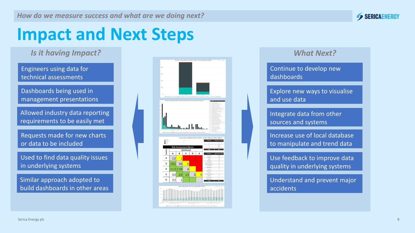

### **Impact and Next Steps**

*Is it having Impact?*

technical assessments Engineers using data for

the maintenance Dashboards being used in management presentations

Allowed industry data reporting requirements to be easily met

Requests made for new charts or data to be included

Used to find data quality issues in underlying systems

Similar approach adopted to build dashboards in other areas



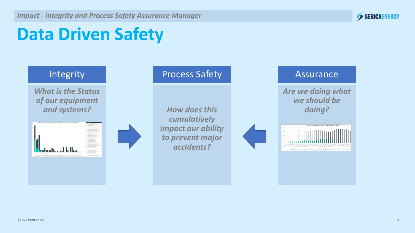

## **Data Driven Safety**

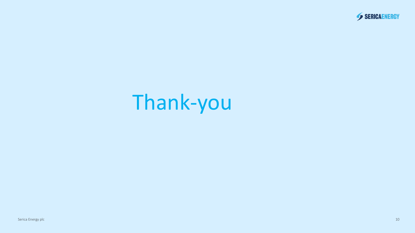

# Thank-you